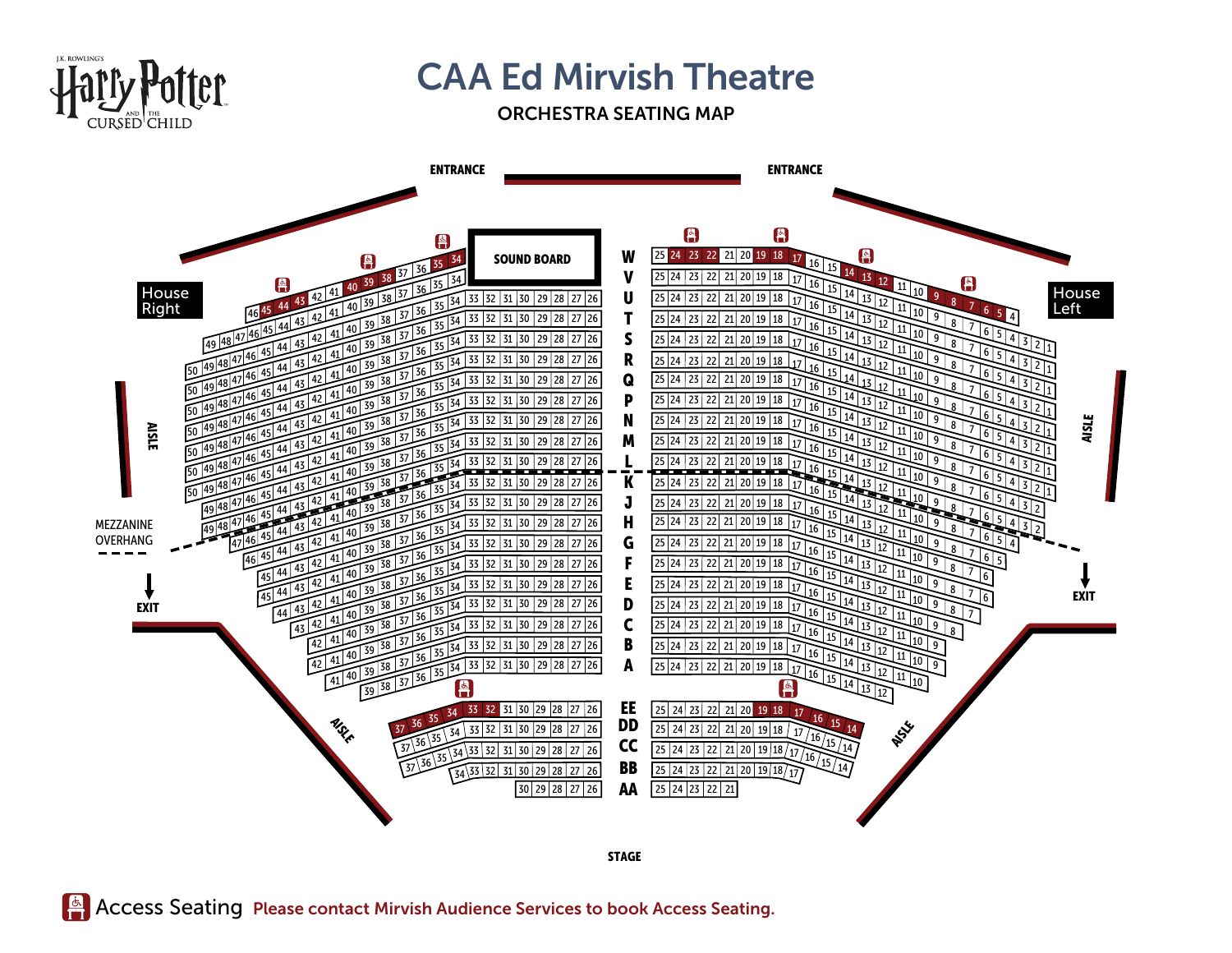

## **CAA Ed Mirvish Theatre**

## ORCHESTRA SEATING MAP